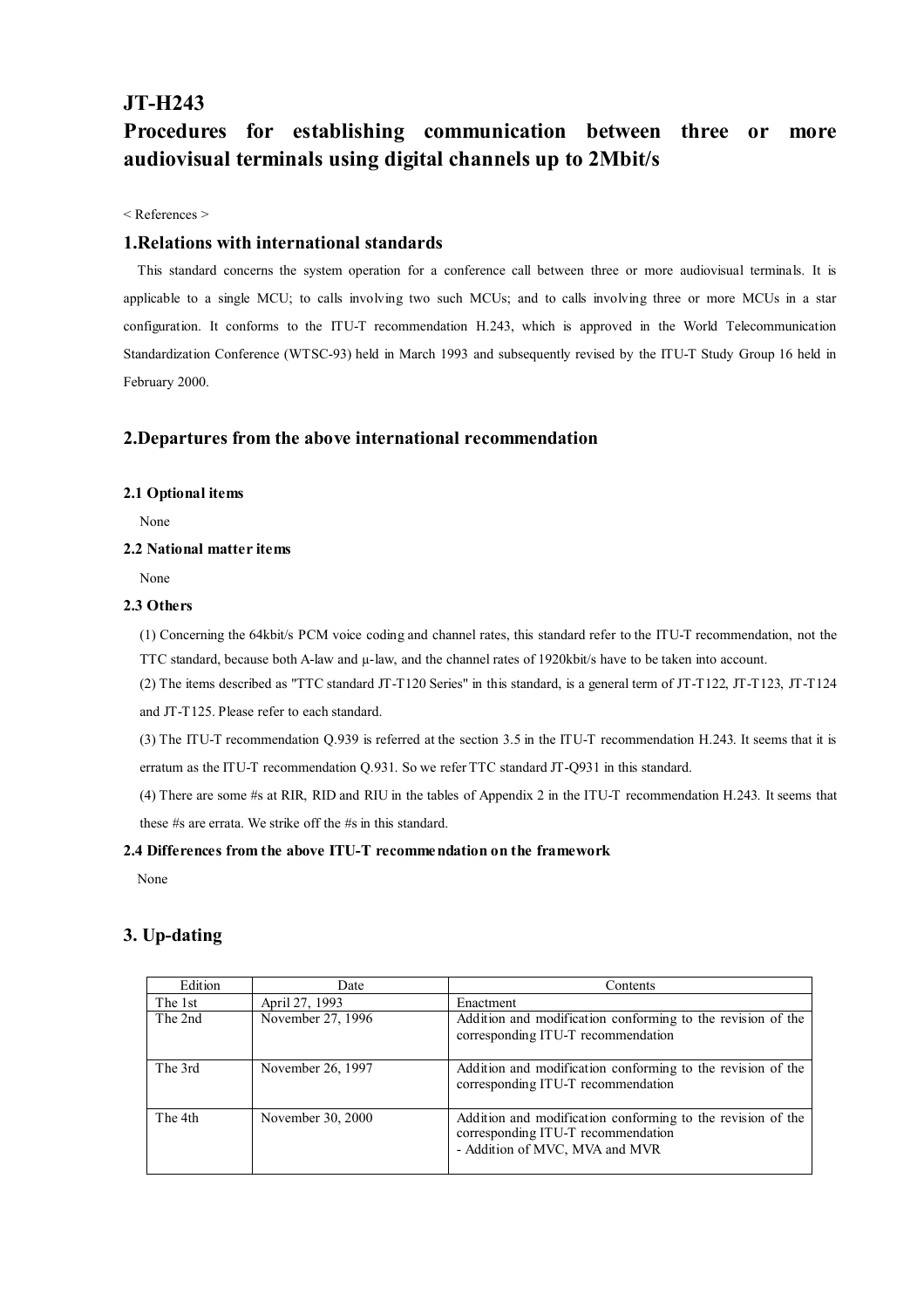## **JT-H243**

# **Procedures for establishing communication between three or more audiovisual terminals using digital channels up to 2Mbit/s**

< References >

#### **1.Relations with international standards**

 This standard concerns the system operation for a conference call between three or more audiovisual terminals. It is applicable to a single MCU; to calls involving two such MCUs; and to calls involving three or more MCUs in a star configuration. It conforms to the ITU-T recommendation H.243, which is approved in the World Telecommunication Standardization Conference (WTSC-93) held in March 1993 and subsequently revised by the ITU-T Study Group 16 held in February 2000.

### **2.Departures from the above international recommendation**

#### **2.1 Optional items**

None

#### **2.2 National matter items**

None

#### **2.3 Others**

(1) Concerning the 64kbit/s PCM voice coding and channel rates, this standard refer to the ITU-T recommendation, not the TTC standard, because both A-law and  $\mu$ -law, and the channel rates of 1920kbit/s have to be taken into account.

(2) The items described as "TTC standard JT-T120 Series" in this standard, is a general term of JT-T122, JT-T123, JT-T124

and JT-T125. Please refer to each standard.

(3) The ITU-T recommendation Q.939 is referred at the section 3.5 in the ITU-T recommendation H.243. It seems that it is erratum as the ITU-T recommendation Q.931. So we refer TTC standard JT-Q931 in this standard.

(4) There are some #s at RIR, RID and RIU in the tables of Appendix 2 in the ITU-T recommendation H.243. It seems that these #s are errata. We strike off the #s in this standard.

#### **2.4 Differences from the above ITU-T recommendation on the framework**

None

## **3. Up-dating**

| Edition | Date              | Contents                                                                                                                            |
|---------|-------------------|-------------------------------------------------------------------------------------------------------------------------------------|
| The 1st | April 27, 1993    | Enactment                                                                                                                           |
| The 2nd | November 27, 1996 | Addition and modification conforming to the revision of the<br>corresponding ITU-T recommendation                                   |
| The 3rd | November 26, 1997 | Addition and modification conforming to the revision of the<br>corresponding ITU-T recommendation                                   |
| The 4th | November 30, 2000 | Addition and modification conforming to the revision of the<br>corresponding ITU-T recommendation<br>- Addition of MVC, MVA and MVR |